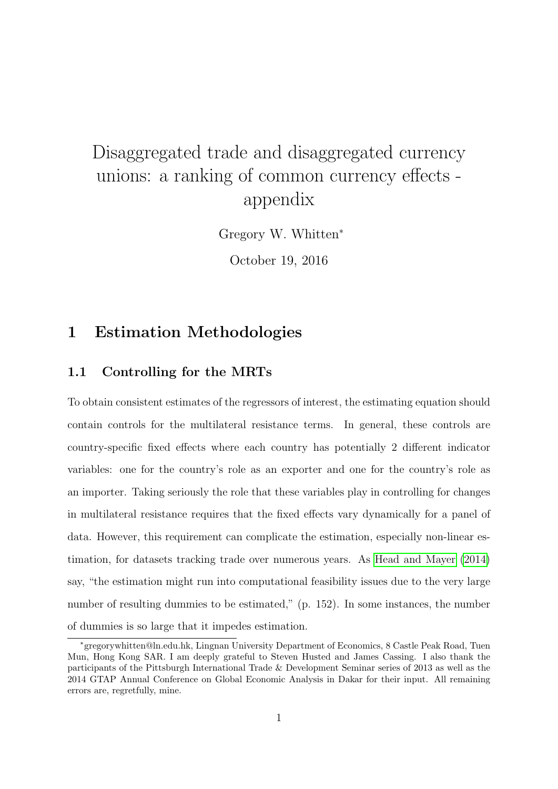# <span id="page-0-0"></span>Disaggregated trade and disaggregated currency unions: a ranking of common currency effects appendix

Gregory W. Whitten<sup>∗</sup>

October 19, 2016

### 1 Estimation Methodologies

### 1.1 Controlling for the MRTs

To obtain consistent estimates of the regressors of interest, the estimating equation should contain controls for the multilateral resistance terms. In general, these controls are country-specific fixed effects where each country has potentially 2 different indicator variables: one for the country's role as an exporter and one for the country's role as an importer. Taking seriously the role that these variables play in controlling for changes in multilateral resistance requires that the fixed effects vary dynamically for a panel of data. However, this requirement can complicate the estimation, especially non-linear estimation, for datasets tracking trade over numerous years. As [Head and Mayer](#page-19-0) [\(2014\)](#page-19-0) say, "the estimation might run into computational feasibility issues due to the very large number of resulting dummies to be estimated," (p. 152). In some instances, the number of dummies is so large that it impedes estimation.

<sup>∗</sup>gregorywhitten@ln.edu.hk, Lingnan University Department of Economics, 8 Castle Peak Road, Tuen Mun, Hong Kong SAR. I am deeply grateful to Steven Husted and James Cassing. I also thank the participants of the Pittsburgh International Trade & Development Seminar series of 2013 as well as the 2014 GTAP Annual Conference on Global Economic Analysis in Dakar for their input. All remaining errors are, regretfully, mine.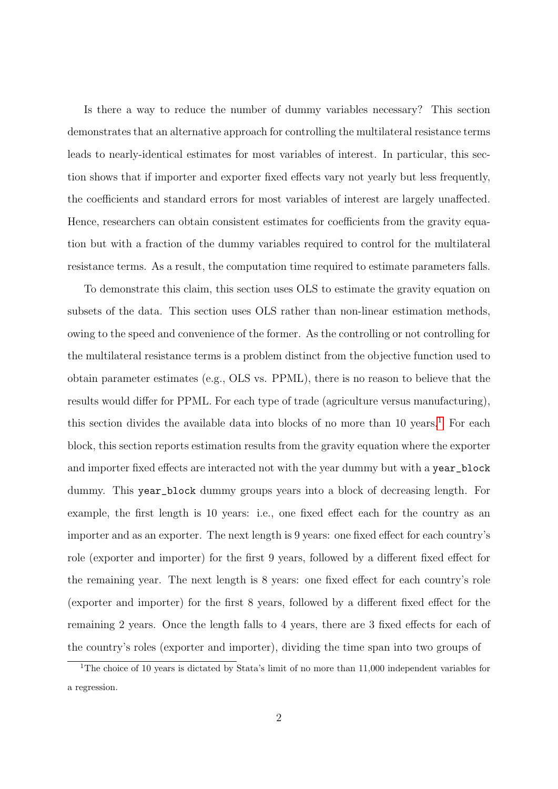Is there a way to reduce the number of dummy variables necessary? This section demonstrates that an alternative approach for controlling the multilateral resistance terms leads to nearly-identical estimates for most variables of interest. In particular, this section shows that if importer and exporter fixed effects vary not yearly but less frequently, the coefficients and standard errors for most variables of interest are largely unaffected. Hence, researchers can obtain consistent estimates for coefficients from the gravity equation but with a fraction of the dummy variables required to control for the multilateral resistance terms. As a result, the computation time required to estimate parameters falls.

To demonstrate this claim, this section uses OLS to estimate the gravity equation on subsets of the data. This section uses OLS rather than non-linear estimation methods, owing to the speed and convenience of the former. As the controlling or not controlling for the multilateral resistance terms is a problem distinct from the objective function used to obtain parameter estimates (e.g., OLS vs. PPML), there is no reason to believe that the results would differ for PPML. For each type of trade (agriculture versus manufacturing), this section divides the available data into blocks of no more than  $10$  $10$  years.<sup>1</sup> For each block, this section reports estimation results from the gravity equation where the exporter and importer fixed effects are interacted not with the year dummy but with a year\_block dummy. This year\_block dummy groups years into a block of decreasing length. For example, the first length is 10 years: i.e., one fixed effect each for the country as an importer and as an exporter. The next length is 9 years: one fixed effect for each country's role (exporter and importer) for the first 9 years, followed by a different fixed effect for the remaining year. The next length is 8 years: one fixed effect for each country's role (exporter and importer) for the first 8 years, followed by a different fixed effect for the remaining 2 years. Once the length falls to 4 years, there are 3 fixed effects for each of the country's roles (exporter and importer), dividing the time span into two groups of

<sup>&</sup>lt;sup>1</sup>The choice of 10 years is dictated by Stata's limit of no more than 11,000 independent variables for a regression.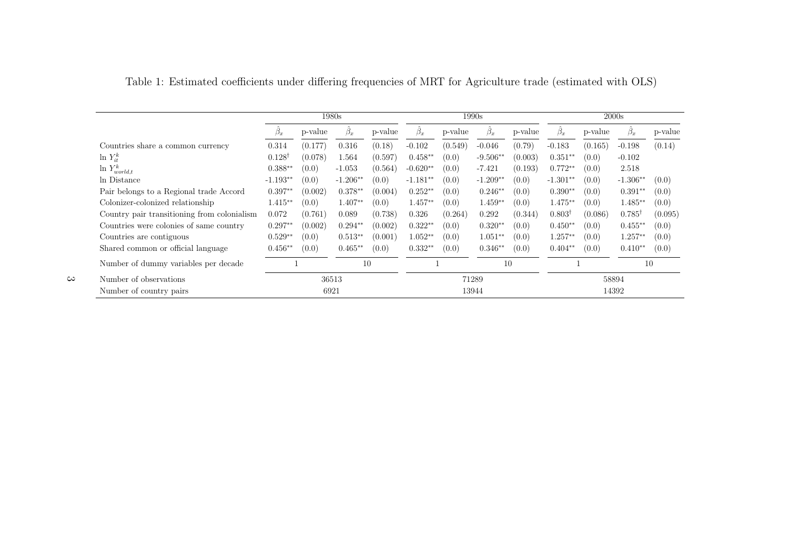|                                             |                   |         | 1980s            |         |            |         | 1990s            |         | 2000s             |         |                   |         |
|---------------------------------------------|-------------------|---------|------------------|---------|------------|---------|------------------|---------|-------------------|---------|-------------------|---------|
|                                             | $\beta_x$         | p-value | $\ddot{\beta}_x$ | p-value | $\beta_x$  | p-value | $\ddot{\beta}_x$ | p-value | $\beta_x$         | p-value | $\beta_x$         | p-value |
| Countries share a common currency           | 0.314             | (0.177) | 0.316            | (0.18)  | $-0.102$   | (0.549) | $-0.046$         | (0.79)  | $-0.183$          | (0.165) | $-0.198$          | (0.14)  |
| $\ln Y_{it}^k$                              | $0.128^{\dagger}$ | (0.078) | 1.564            | (0.597) | $0.458**$  | (0.0)   | $-9.506**$       | (0.003) | $0.351**$         | (0.0)   | $-0.102$          |         |
| $\ln Y^k_{world,t}$                         | $0.388**$         | (0.0)   | $-1.053$         | (0.564) | $-0.620**$ | (0.0)   | $-7.421$         | (0.193) | $0.772**$         | (0.0)   | 2.518             |         |
| In Distance                                 | $-1.193**$        | (0.0)   | $-1.206**$       | (0.0)   | $-1.181**$ | (0.0)   | $-1.209**$       | (0.0)   | $-1.301**$        | (0.0)   | $-1.306**$        | (0.0)   |
| Pair belongs to a Regional trade Accord     | $0.397**$         | (0.002) | $0.378**$        | (0.004) | $0.252**$  | (0.0)   | $0.246**$        | (0.0)   | $0.390**$         | (0.0)   | $0.391**$         | (0.0)   |
| Colonizer-colonized relationship            | $1.415**$         | (0.0)   | $1.407**$        | (0.0)   | $1.457**$  | (0.0)   | $1.459**$        | (0.0)   | $1.475**$         | (0.0)   | $1.485**$         | (0.0)   |
| Country pair transitioning from colonialism | 0.072             | (0.761) | 0.089            | (0.738) | 0.326      | (0.264) | 0.292            | (0.344) | $0.803^{\dagger}$ | (0.086) | $0.785^{\dagger}$ | (0.095) |
| Countries were colonies of same country     | $0.297**$         | (0.002) | $0.294**$        | (0.002) | $0.322**$  | (0.0)   | $0.320**$        | (0.0)   | $0.450**$         | (0.0)   | $0.455**$         | (0.0)   |
| Countries are contiguous                    | $0.529**$         | (0.0)   | $0.513**$        | (0.001) | $1.052**$  | (0.0)   | $1.051**$        | (0.0)   | $1.257**$         | (0.0)   | $1.257**$         | (0.0)   |
| Shared common or official language          | $0.456**$         | (0.0)   | $0.465**$        | (0.0)   | $0.332**$  | (0.0)   | $0.346**$        | (0.0)   | $0.404**$         | (0.0)   | $0.410**$         | (0.0)   |
| Number of dummy variables per decade        |                   |         | 10               |         |            |         | 10               |         |                   |         | 10                |         |
| Number of observations                      |                   |         | 36513            |         | 71289      |         |                  | 58894   |                   |         |                   |         |
| Number of country pairs                     |                   |         | 6921             |         |            | 13944   |                  |         | 14392             |         |                   |         |

<span id="page-2-0"></span>Table 1: Estimated coefficients under differing frequencies of MRT for Agriculture trade (estimated with OLS)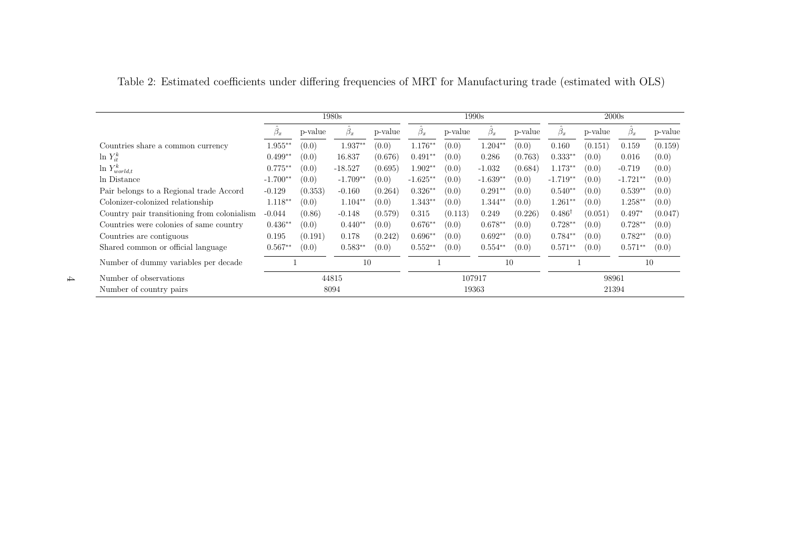|                                             |            |         | 1980s           |         |            |         | 1990s           |         | 2000s             |         |                  |         |
|---------------------------------------------|------------|---------|-----------------|---------|------------|---------|-----------------|---------|-------------------|---------|------------------|---------|
|                                             |            | p-value | $\hat{\beta}_x$ | p-value | $\beta_x$  | p-value | $\hat{\beta}_x$ | p-value | $\ddot{\beta}_x$  | p-value | $\ddot{\beta}_x$ | p-value |
| Countries share a common currency           | $1.955**$  | (0.0)   | 1.937**         | (0.0)   | $1.176**$  | (0.0)   | $1.204**$       | (0.0)   | 0.160             | (0.151) | 0.159            | (0.159) |
| $\ln Y_{it}^k$                              | $0.499**$  | (0.0)   | 16.837          | (0.676) | $0.491**$  | (0.0)   | 0.286           | (0.763) | $0.333**$         | (0.0)   | 0.016            | (0.0)   |
| $\ln Y^k_{world,t}$                         | $0.775**$  | (0.0)   | $-18.527$       | (0.695) | $1.902**$  | (0.0)   | $-1.032$        | (0.684) | $1.173**$         | (0.0)   | $-0.719$         | (0.0)   |
| In Distance                                 | $-1.700**$ | (0.0)   | $-1.709**$      | (0.0)   | $-1.625**$ | (0.0)   | $-1.639**$      | (0.0)   | $-1.719**$        | (0.0)   | $-1.721**$       | (0.0)   |
| Pair belongs to a Regional trade Accord     | $-0.129$   | (0.353) | $-0.160$        | (0.264) | $0.326**$  | (0.0)   | $0.291**$       | (0.0)   | $0.540**$         | (0.0)   | $0.539**$        | (0.0)   |
| Colonizer-colonized relationship            | $1.118**$  | (0.0)   | $1.104**$       | (0.0)   | $1.343**$  | (0.0)   | $1.344**$       | (0.0)   | $1.261**$         | (0.0)   | $1.258**$        | (0.0)   |
| Country pair transitioning from colonialism | $-0.044$   | (0.86)  | $-0.148$        | (0.579) | 0.315      | (0.113) | 0.249           | (0.226) | $0.486^{\dagger}$ | (0.051) | $0.497*$         | (0.047) |
| Countries were colonies of same country     | $0.436**$  | (0.0)   | $0.440**$       | (0.0)   | $0.676**$  | (0.0)   | $0.678**$       | (0.0)   | $0.728**$         | (0.0)   | $0.728**$        | (0.0)   |
| Countries are contiguous                    | 0.195      | (0.191) | 0.178           | (0.242) | $0.696**$  | (0.0)   | $0.692**$       | (0.0)   | $0.784**$         | (0.0)   | $0.782**$        | (0.0)   |
| Shared common or official language          | $0.567**$  | (0.0)   | $0.583**$       | (0.0)   | $0.552**$  | (0.0)   | $0.554**$       | (0.0)   | $0.571**$         | (0.0)   | $0.571**$        | (0.0)   |
| Number of dummy variables per decade        |            |         | 10              |         |            |         | 10              |         |                   |         | 10               |         |
| Number of observations                      |            |         | 44815           |         | 107917     |         |                 | 98961   |                   |         |                  |         |
| Number of country pairs                     |            |         | 8094            |         | 19363      |         |                 | 21394   |                   |         |                  |         |

<span id="page-3-0"></span>Table 2: Estimated coefficients under differing frequencies of MRT for Manufacturing trade (estimated with OLS)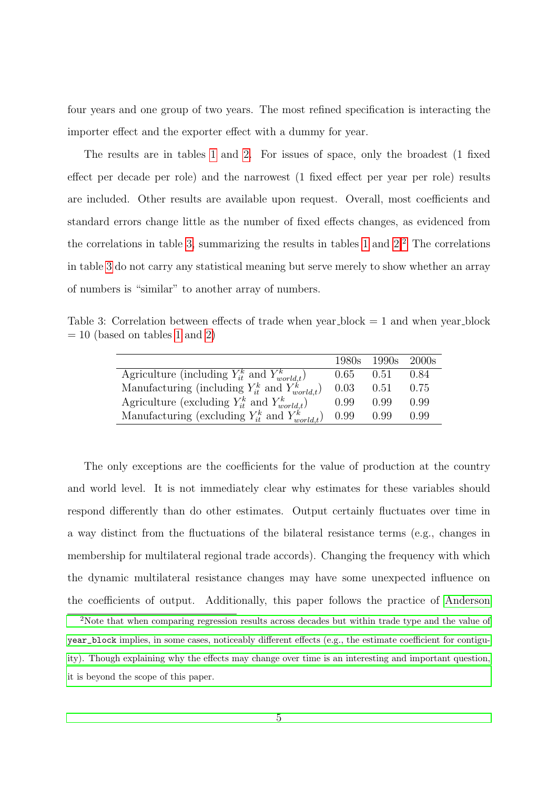four years and one group of two years. The most refined specification is interacting the importer effect and the exporter effect with a dummy for year.

The results are in tables [1](#page-2-0) and [2.](#page-3-0) For issues of space, only the broadest (1 fixed effect per decade per role) and the narrowest (1 fixed effect per year per role) results are included. Other results are available upon request. Overall, most coefficients and standard errors change little as the number of fixed effects changes, as evidenced from the correlations in table [3,](#page-4-0) summarizing the results in tables [1](#page-2-0) and  $2<sup>2</sup>$  $2<sup>2</sup>$ . The correlations in table [3](#page-4-0) do not carry any statistical meaning but serve merely to show whether an array of numbers is "similar" to another array of numbers.

<span id="page-4-0"></span>Table 3: Correlation between effects of trade when year block  $= 1$  and when year block  $= 10$  $= 10$  $= 10$  (based on tables 1 and [2\)](#page-3-0)

|                                                           | 1980s | 1990s  | 2000s |
|-----------------------------------------------------------|-------|--------|-------|
| Agriculture (including $Y_{it}^k$ and $Y_{world,t}^k$ )   | 0.65  | 0.51   | 0.84  |
| Manufacturing (including $Y_{it}^k$ and $Y_{world,t}^k$ ) | 0.03  | (0.51) | 0.75  |
| Agriculture (excluding $Y_{it}^k$ and $Y_{world,t}^k$ )   | 0.99  | 0.99   | 0.99  |
| Manufacturing (excluding $Y_{it}^k$ and $Y_{world,t}^k$ ) | 0.99  | 0.99   | 0.99  |

The only exceptions are the coefficients for the value of production at the country and world level. It is not immediately clear why estimates for these variables should respond differently than do other estimates. Output certainly fluctuates over time in a way distinct from the fluctuations of the bilateral resistance terms (e.g., changes in membership for multilateral regional trade accords). Changing the frequency with which the dynamic multilateral resistance changes may have some unexpected influence on the coefficients of output. Additionally, this paper follows the practice of [Anderson](#page-19-1)

<sup>2</sup>[Note that when comparing regression results across decades but within trade type and the value of](#page-19-1) year\_block [implies, in some cases, noticeably different effects \(e.g., the estimate coefficient for contigu](#page-19-1)[ity\). Though explaining why the effects may change over time is an interesting and important question,](#page-19-1) [it is beyond the scope of this paper.](#page-19-1)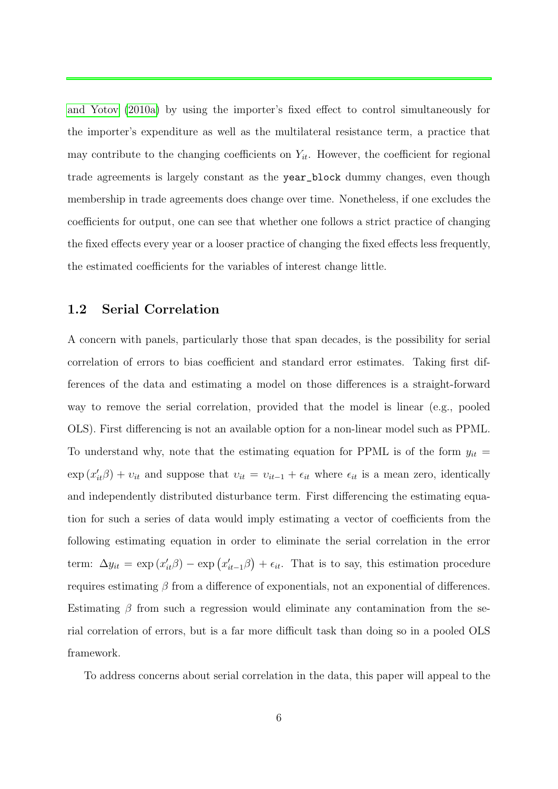[and Yotov](#page-19-1) [\(2010a\)](#page-19-1) by using the importer's fixed effect to control simultaneously for the importer's expenditure as well as the multilateral resistance term, a practice that may contribute to the changing coefficients on  $Y_{it}$ . However, the coefficient for regional trade agreements is largely constant as the year\_block dummy changes, even though membership in trade agreements does change over time. Nonetheless, if one excludes the coefficients for output, one can see that whether one follows a strict practice of changing the fixed effects every year or a looser practice of changing the fixed effects less frequently, the estimated coefficients for the variables of interest change little.

#### 1.2 Serial Correlation

A concern with panels, particularly those that span decades, is the possibility for serial correlation of errors to bias coefficient and standard error estimates. Taking first differences of the data and estimating a model on those differences is a straight-forward way to remove the serial correlation, provided that the model is linear (e.g., pooled OLS). First differencing is not an available option for a non-linear model such as PPML. To understand why, note that the estimating equation for PPML is of the form  $y_{it}$  =  $\exp(x'_{it}\beta) + v_{it}$  and suppose that  $v_{it} = v_{it-1} + \epsilon_{it}$  where  $\epsilon_{it}$  is a mean zero, identically and independently distributed disturbance term. First differencing the estimating equation for such a series of data would imply estimating a vector of coefficients from the following estimating equation in order to eliminate the serial correlation in the error term:  $\Delta y_{it} = \exp(x_{it}^{\prime}\beta) - \exp(x_{it-1}^{\prime}\beta) + \epsilon_{it}$ . That is to say, this estimation procedure requires estimating β from a difference of exponentials, not an exponential of differences. Estimating  $\beta$  from such a regression would eliminate any contamination from the serial correlation of errors, but is a far more difficult task than doing so in a pooled OLS framework.

To address concerns about serial correlation in the data, this paper will appeal to the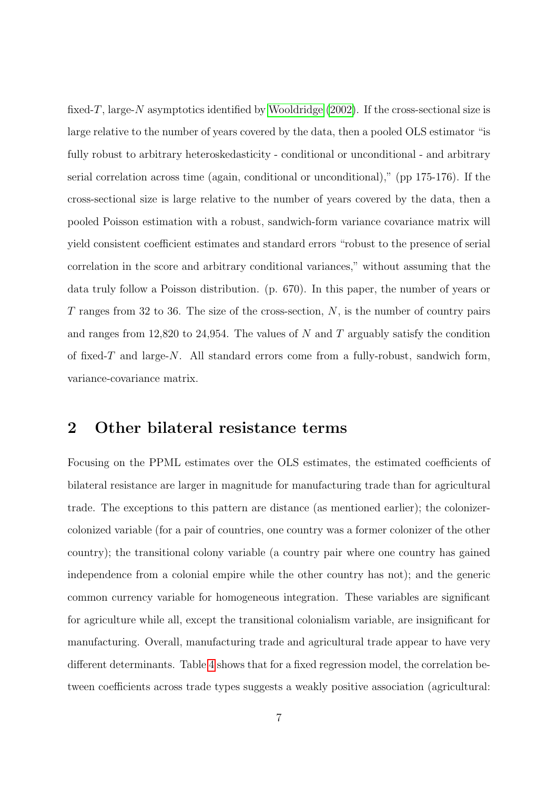fixed-T, large-N asymptotics identified by [Wooldridge](#page-20-0)  $(2002)$ . If the cross-sectional size is large relative to the number of years covered by the data, then a pooled OLS estimator "is fully robust to arbitrary heteroskedasticity - conditional or unconditional - and arbitrary serial correlation across time (again, conditional or unconditional)," (pp 175-176). If the cross-sectional size is large relative to the number of years covered by the data, then a pooled Poisson estimation with a robust, sandwich-form variance covariance matrix will yield consistent coefficient estimates and standard errors "robust to the presence of serial correlation in the score and arbitrary conditional variances," without assuming that the data truly follow a Poisson distribution. (p. 670). In this paper, the number of years or  $T$  ranges from 32 to 36. The size of the cross-section,  $N$ , is the number of country pairs and ranges from 12,820 to 24,954. The values of N and T arguably satisfy the condition of fixed-T and large-N. All standard errors come from a fully-robust, sandwich form, variance-covariance matrix.

### 2 Other bilateral resistance terms

Focusing on the PPML estimates over the OLS estimates, the estimated coefficients of bilateral resistance are larger in magnitude for manufacturing trade than for agricultural trade. The exceptions to this pattern are distance (as mentioned earlier); the colonizercolonized variable (for a pair of countries, one country was a former colonizer of the other country); the transitional colony variable (a country pair where one country has gained independence from a colonial empire while the other country has not); and the generic common currency variable for homogeneous integration. These variables are significant for agriculture while all, except the transitional colonialism variable, are insignificant for manufacturing. Overall, manufacturing trade and agricultural trade appear to have very different determinants. Table [4](#page-7-0) shows that for a fixed regression model, the correlation between coefficients across trade types suggests a weakly positive association (agricultural: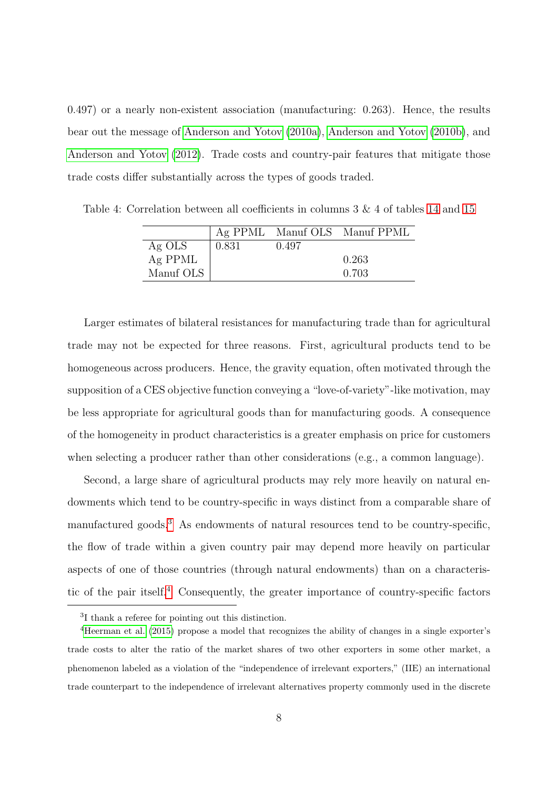0.497) or a nearly non-existent association (manufacturing: 0.263). Hence, the results bear out the message of [Anderson and Yotov](#page-19-1) [\(2010a\)](#page-19-1), [Anderson and Yotov](#page-19-2) [\(2010b\)](#page-19-2), and [Anderson and Yotov](#page-19-3) [\(2012\)](#page-19-3). Trade costs and country-pair features that mitigate those trade costs differ substantially across the types of goods traded.

<span id="page-7-0"></span>Ag PPML Manuf OLS Manuf PPML Ag OLS  $\begin{array}{|c} 0.831 \ 0.497 \end{array}$  $Ag$  PPML  $\qquad \qquad 0.263$ Manuf OLS  $\vert$  0.703

Table 4: Correlation between all coefficients in columns 3 & 4 of tables [14](#page-17-0) and [15](#page-18-0)

Larger estimates of bilateral resistances for manufacturing trade than for agricultural trade may not be expected for three reasons. First, agricultural products tend to be homogeneous across producers. Hence, the gravity equation, often motivated through the supposition of a CES objective function conveying a "love-of-variety"-like motivation, may be less appropriate for agricultural goods than for manufacturing goods. A consequence of the homogeneity in product characteristics is a greater emphasis on price for customers when selecting a producer rather than other considerations (e.g., a common language).

Second, a large share of agricultural products may rely more heavily on natural endowments which tend to be country-specific in ways distinct from a comparable share of manufactured goods.<sup>[3](#page-0-0)</sup> As endowments of natural resources tend to be country-specific, the flow of trade within a given country pair may depend more heavily on particular aspects of one of those countries (through natural endowments) than on a characteris-tic of the pair itself.<sup>[4](#page-0-0)</sup> Consequently, the greater importance of country-specific factors

<sup>3</sup> I thank a referee for pointing out this distinction.

<sup>4</sup>[Heerman et al.](#page-19-4) [\(2015\)](#page-19-4) propose a model that recognizes the ability of changes in a single exporter's trade costs to alter the ratio of the market shares of two other exporters in some other market, a phenomenon labeled as a violation of the "independence of irrelevant exporters," (IIE) an international trade counterpart to the independence of irrelevant alternatives property commonly used in the discrete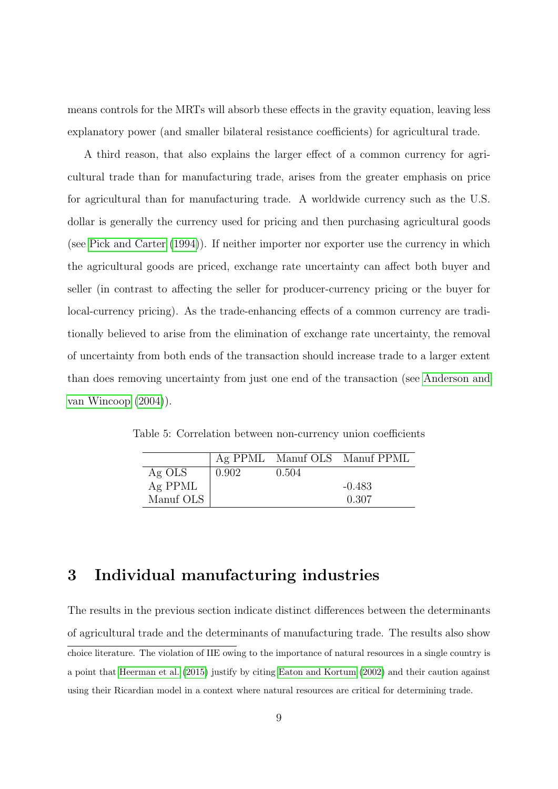means controls for the MRTs will absorb these effects in the gravity equation, leaving less explanatory power (and smaller bilateral resistance coefficients) for agricultural trade.

A third reason, that also explains the larger effect of a common currency for agricultural trade than for manufacturing trade, arises from the greater emphasis on price for agricultural than for manufacturing trade. A worldwide currency such as the U.S. dollar is generally the currency used for pricing and then purchasing agricultural goods (see [Pick and Carter](#page-19-5) [\(1994\)](#page-19-5)). If neither importer nor exporter use the currency in which the agricultural goods are priced, exchange rate uncertainty can affect both buyer and seller (in contrast to affecting the seller for producer-currency pricing or the buyer for local-currency pricing). As the trade-enhancing effects of a common currency are traditionally believed to arise from the elimination of exchange rate uncertainty, the removal of uncertainty from both ends of the transaction should increase trade to a larger extent than does removing uncertainty from just one end of the transaction (see [Anderson and](#page-19-6) [van Wincoop](#page-19-6) [\(2004\)](#page-19-6)).

Table 5: Correlation between non-currency union coefficients

|           |       |       | Ag PPML Manuf OLS Manuf PPML |
|-----------|-------|-------|------------------------------|
| Ag OLS    | 0.902 | 0.504 |                              |
| Ag PPML   |       |       | $-0.483$                     |
| Manuf OLS |       |       | 0.307                        |

## 3 Individual manufacturing industries

The results in the previous section indicate distinct differences between the determinants of agricultural trade and the determinants of manufacturing trade. The results also show choice literature. The violation of IIE owing to the importance of natural resources in a single country is a point that [Heerman et al.](#page-19-4) [\(2015\)](#page-19-4) justify by citing [Eaton and Kortum](#page-19-7) [\(2002\)](#page-19-7) and their caution against using their Ricardian model in a context where natural resources are critical for determining trade.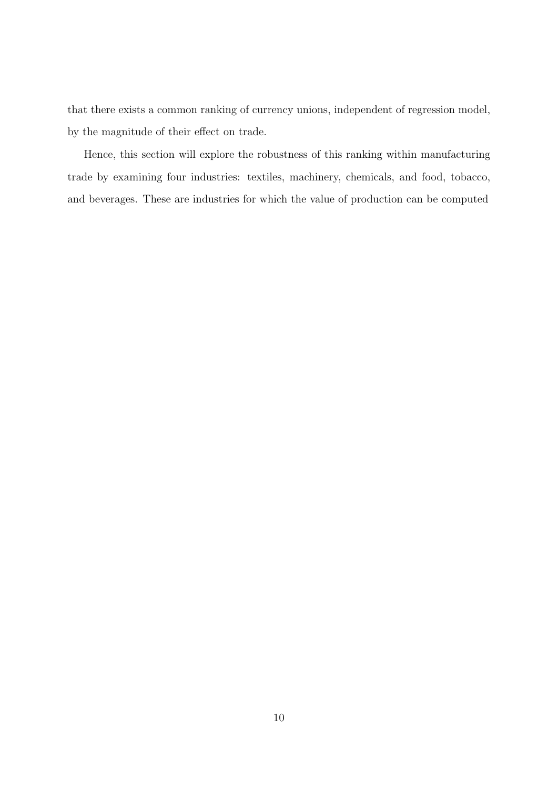that there exists a common ranking of currency unions, independent of regression model, by the magnitude of their effect on trade.

Hence, this section will explore the robustness of this ranking within manufacturing trade by examining four industries: textiles, machinery, chemicals, and food, tobacco, and beverages. These are industries for which the value of production can be computed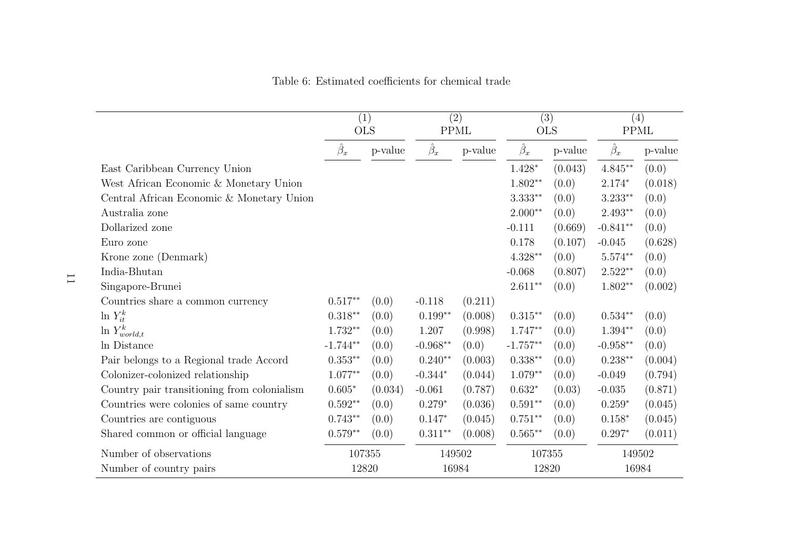|                                             | (1)<br><b>OLS</b>  |         | $\overline{(2)}$<br><b>PPML</b> |         | $\overline{(3)}$<br><b>OLS</b> |         | (4)<br><b>PPML</b> |         |
|---------------------------------------------|--------------------|---------|---------------------------------|---------|--------------------------------|---------|--------------------|---------|
|                                             | $\hat{\beta}_x$    | p-value | $\hat{\beta}_x$                 | p-value | $\hat{\beta}_x$                | p-value | $\hat{\beta}_x$    | p-value |
| East Caribbean Currency Union               |                    |         |                                 |         | $1.428*$                       | (0.043) | $4.845**$          | (0.0)   |
| West African Economic & Monetary Union      |                    |         |                                 |         | $1.802**$                      | (0.0)   | $2.174*$           | (0.018) |
| Central African Economic & Monetary Union   |                    |         |                                 |         | $3.333**$                      | (0.0)   | $3.233**$          | (0.0)   |
| Australia zone                              |                    |         |                                 |         | $2.000**$                      | (0.0)   | $2.493**$          | (0.0)   |
| Dollarized zone                             |                    |         |                                 |         | $-0.111$                       | (0.669) | $-0.841**$         | (0.0)   |
| Euro zone                                   |                    |         |                                 |         | 0.178                          | (0.107) | $-0.045$           | (0.628) |
| Krone zone (Denmark)                        |                    |         |                                 |         | $4.328**$                      | (0.0)   | $5.574**$          | (0.0)   |
| India-Bhutan                                |                    |         |                                 |         | $-0.068$                       | (0.807) | $2.522**$          | (0.0)   |
| Singapore-Brunei                            |                    |         |                                 |         | $2.611**$                      | (0.0)   | $1.802**$          | (0.002) |
| Countries share a common currency           | $0.517**$          | (0.0)   | $-0.118$                        | (0.211) |                                |         |                    |         |
| $\ln Y_{it}^k$                              | $0.318**$          | (0.0)   | $0.199**$                       | (0.008) | $0.315**$                      | (0.0)   | $0.534**$          | (0.0)   |
| $\ln Y^k_{world,t}$                         | $1.732**$          | (0.0)   | 1.207                           | (0.998) | $1.747**$                      | (0.0)   | $1.394**$          | (0.0)   |
| In Distance                                 | $-1.744**$         | (0.0)   | $-0.968**$                      | (0.0)   | $-1.757**$                     | (0.0)   | $-0.958**$         | (0.0)   |
| Pair belongs to a Regional trade Accord     | $0.353^{\ast\ast}$ | (0.0)   | $0.240**$                       | (0.003) | $0.338**$                      | (0.0)   | $0.238**$          | (0.004) |
| Colonizer-colonized relationship            | $1.077**$          | (0.0)   | $-0.344*$                       | (0.044) | $1.079**$                      | (0.0)   | $-0.049$           | (0.794) |
| Country pair transitioning from colonialism | $0.605*$           | (0.034) | $-0.061$                        | (0.787) | $0.632*$                       | (0.03)  | $-0.035$           | (0.871) |
| Countries were colonies of same country     | $0.592**$          | (0.0)   | $0.279*$                        | (0.036) | $0.591**$                      | (0.0)   | $0.259*$           | (0.045) |
| Countries are contiguous                    | $0.743**$          | (0.0)   | $0.147*$                        | (0.045) | $0.751**$                      | (0.0)   | $0.158*$           | (0.045) |
| Shared common or official language          | $0.579**$          | (0.0)   | $0.311**$                       | (0.008) | $0.565**$                      | (0.0)   | $0.297*$           | (0.011) |
| Number of observations                      | 107355             |         | 149502                          |         | 107355                         |         | 149502             |         |
| Number of country pairs                     | 12820              |         | 16984                           |         | 12820                          |         | 16984              |         |

Table 6: Estimated coefficients for chemical trade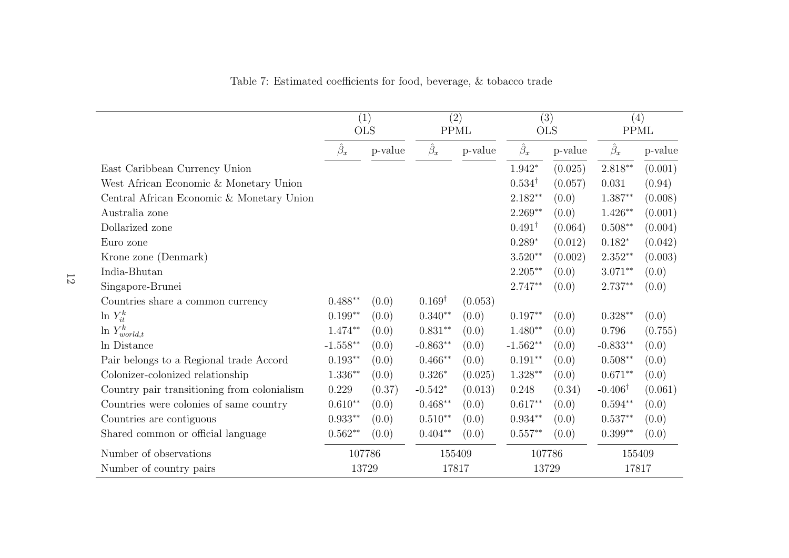|                                             | $\overline{(1)}$<br><b>OLS</b> |         | $\overline{(2)}$<br><b>PPML</b> |         | $\overline{(3)}$<br><b>OLS</b> |         | (4)<br><b>PPML</b> |         |
|---------------------------------------------|--------------------------------|---------|---------------------------------|---------|--------------------------------|---------|--------------------|---------|
|                                             | $\hat{\beta}_x$                | p-value | $\hat{\beta}_x$                 | p-value | $\hat{\beta}_x$                | p-value | $\hat{\beta}_x$    | p-value |
| East Caribbean Currency Union               |                                |         |                                 |         | $1.942*$                       | (0.025) | $2.818**$          | (0.001) |
| West African Economic & Monetary Union      |                                |         |                                 |         | $0.534^{\dagger}$              | (0.057) | 0.031              | (0.94)  |
| Central African Economic & Monetary Union   |                                |         |                                 |         | $2.182**$                      | (0.0)   | $1.387**$          | (0.008) |
| Australia zone                              |                                |         |                                 |         | $2.269**$                      | (0.0)   | $1.426**$          | (0.001) |
| Dollarized zone                             |                                |         |                                 |         | $0.491^{\dagger}$              | (0.064) | $0.508**$          | (0.004) |
| Euro zone                                   |                                |         |                                 |         | $0.289*$                       | (0.012) | $0.182*$           | (0.042) |
| Krone zone (Denmark)                        |                                |         |                                 |         | $3.520**$                      | (0.002) | $2.352**$          | (0.003) |
| India-Bhutan                                |                                |         |                                 |         | $2.205***$                     | (0.0)   | $3.071**$          | (0.0)   |
| Singapore-Brunei                            |                                |         |                                 |         | $2.747**$                      | (0.0)   | $2.737**$          | (0.0)   |
| Countries share a common currency           | $0.488**$                      | (0.0)   | $0.169^{\dagger}$               | (0.053) |                                |         |                    |         |
| $\ln Y_{it}^k$                              | $0.199**$                      | (0.0)   | $0.340**$                       | (0.0)   | $0.197**$                      | (0.0)   | $0.328**$          | (0.0)   |
| $\ln Y^k_{world,t}$                         | $1.474**$                      | (0.0)   | $0.831**$                       | (0.0)   | $1.480**$                      | (0.0)   | 0.796              | (0.755) |
| In Distance                                 | $-1.558**$                     | (0.0)   | $-0.863**$                      | (0.0)   | $-1.562**$                     | (0.0)   | $-0.833**$         | (0.0)   |
| Pair belongs to a Regional trade Accord     | $0.193**$                      | (0.0)   | $0.466**$                       | (0.0)   | $0.191**$                      | (0.0)   | $0.508^{\ast\ast}$ | (0.0)   |
| Colonizer-colonized relationship            | $1.336**$                      | (0.0)   | $0.326*$                        | (0.025) | $1.328**$                      | (0.0)   | $0.671**$          | (0.0)   |
| Country pair transitioning from colonialism | 0.229                          | (0.37)  | $-0.542*$                       | (0.013) | 0.248                          | (0.34)  | $-0.406^{\dagger}$ | (0.061) |
| Countries were colonies of same country     | $0.610**$                      | (0.0)   | $0.468**$                       | (0.0)   | $0.617**$                      | (0.0)   | $0.594**$          | (0.0)   |
| Countries are contiguous                    | $0.933**$                      | (0.0)   | $0.510**$                       | (0.0)   | $0.934**$                      | (0.0)   | $0.537**$          | (0.0)   |
| Shared common or official language          | $0.562**$                      | (0.0)   | $0.404**$                       | (0.0)   | $0.557**$                      | (0.0)   | $0.399**$          | (0.0)   |
| Number of observations                      | 107786                         |         | 155409                          |         | 107786                         |         | 155409             |         |
| Number of country pairs                     | 13729                          |         | 17817                           |         | 13729                          |         | 17817              |         |

Table 7: Estimated coefficients for food, beverage, & tobacco trade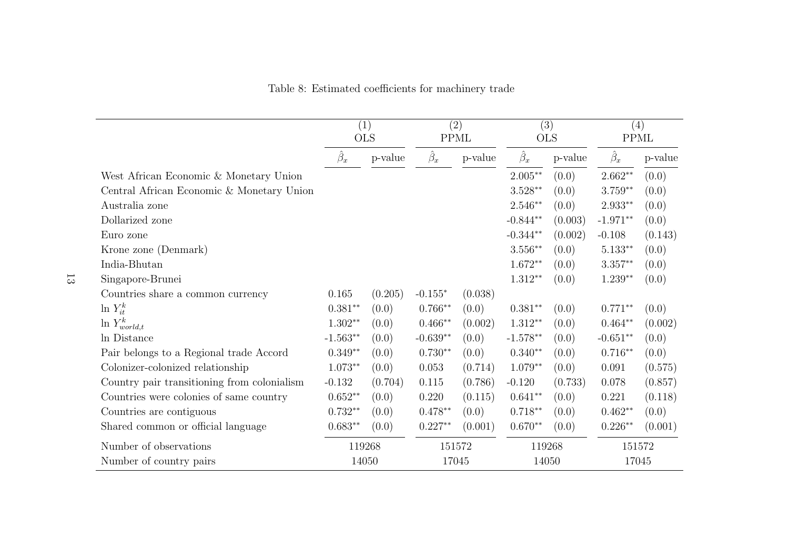|                                             | (1)<br><b>OLS</b> |         |                 | (2)<br><b>PPML</b> |            | (3)<br><b>OLS</b> | (4)<br><b>PPML</b> |         |
|---------------------------------------------|-------------------|---------|-----------------|--------------------|------------|-------------------|--------------------|---------|
|                                             | $\beta_x$         | p-value | $\hat{\beta}_x$ | p-value            | $\beta_x$  | p-value           | $\hat{\beta}_x$    | p-value |
| West African Economic & Monetary Union      |                   |         |                 |                    | $2.005**$  | (0.0)             | $2.662**$          | (0.0)   |
| Central African Economic & Monetary Union   |                   |         |                 |                    | $3.528**$  | (0.0)             | $3.759**$          | (0.0)   |
| Australia zone                              |                   |         |                 |                    | $2.546**$  | (0.0)             | $2.933**$          | (0.0)   |
| Dollarized zone                             |                   |         |                 |                    | $-0.844**$ | (0.003)           | $-1.971**$         | (0.0)   |
| Euro zone                                   |                   |         |                 |                    | $-0.344**$ | (0.002)           | $-0.108$           | (0.143) |
| Krone zone (Denmark)                        |                   |         |                 |                    | $3.556**$  | (0.0)             | $5.133**$          | (0.0)   |
| India-Bhutan                                |                   |         |                 |                    | $1.672**$  | (0.0)             | $3.357**$          | (0.0)   |
| Singapore-Brunei                            |                   |         |                 |                    | $1.312**$  | (0.0)             | $1.239**$          | (0.0)   |
| Countries share a common currency           | 0.165             | (0.205) | $-0.155*$       | (0.038)            |            |                   |                    |         |
| $\ln Y_{it}^k$                              | $0.381**$         | (0.0)   | $0.766**$       | (0.0)              | $0.381**$  | (0.0)             | $0.771**$          | (0.0)   |
| $\ln Y^k_{world,t}$                         | $1.302**$         | (0.0)   | $0.466**$       | (0.002)            | $1.312**$  | (0.0)             | $0.464**$          | (0.002) |
| In Distance                                 | $-1.563**$        | (0.0)   | $-0.639**$      | (0.0)              | $-1.578**$ | (0.0)             | $-0.651**$         | (0.0)   |
| Pair belongs to a Regional trade Accord     | $0.349**$         | (0.0)   | $0.730**$       | (0.0)              | $0.340**$  | (0.0)             | $0.716**$          | (0.0)   |
| Colonizer-colonized relationship            | $1.073**$         | (0.0)   | 0.053           | (0.714)            | $1.079**$  | (0.0)             | 0.091              | (0.575) |
| Country pair transitioning from colonialism | $-0.132$          | (0.704) | 0.115           | (0.786)            | $-0.120$   | (0.733)           | 0.078              | (0.857) |
| Countries were colonies of same country     | $0.652**$         | (0.0)   | 0.220           | (0.115)            | $0.641**$  | (0.0)             | 0.221              | (0.118) |
| Countries are contiguous                    | $0.732**$         | (0.0)   | $0.478**$       | (0.0)              | $0.718**$  | (0.0)             | $0.462**$          | (0.0)   |
| Shared common or official language          | $0.683**$         | (0.0)   | $0.227**$       | (0.001)            | $0.670**$  | (0.0)             | $0.226**$          | (0.001) |
| Number of observations                      |                   | 119268  | 151572          |                    | 119268     |                   |                    | 151572  |
| Number of country pairs                     |                   | 14050   | 17045           |                    |            | 14050             | 17045              |         |

Table 8: Estimated coefficients for machinery trade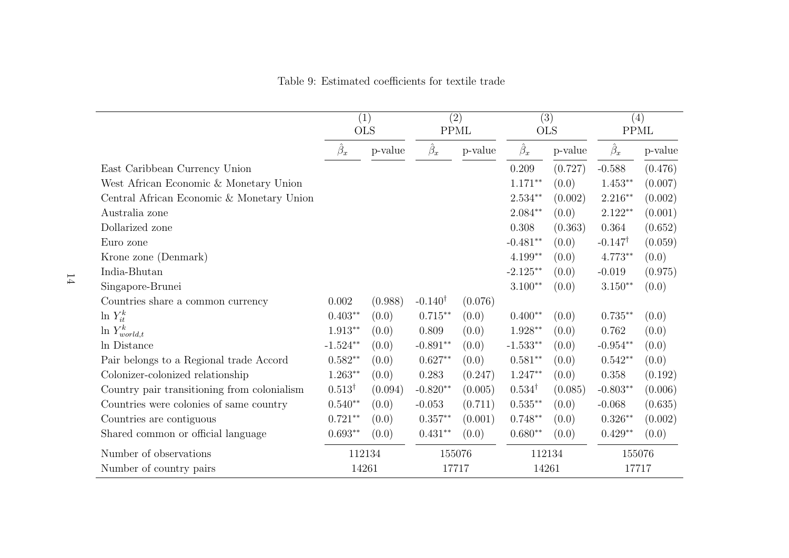|                                             | (1)<br><b>OLS</b>  |         |                    | $\overline{(2)}$<br><b>PPML</b> |                   | $\overline{(3)}$<br><b>OLS</b> | (4)<br><b>PPML</b> |         |
|---------------------------------------------|--------------------|---------|--------------------|---------------------------------|-------------------|--------------------------------|--------------------|---------|
|                                             | $\hat{\beta}_x$    | p-value | $\hat{\beta}_x$    | p-value                         | $\hat{\beta}_x$   | p-value                        | $\hat{\beta}_x$    | p-value |
| East Caribbean Currency Union               |                    |         |                    |                                 | 0.209             | (0.727)                        | $-0.588$           | (0.476) |
| West African Economic & Monetary Union      |                    |         |                    |                                 | $1.171**$         | (0.0)                          | $1.453**$          | (0.007) |
| Central African Economic & Monetary Union   |                    |         |                    |                                 | $2.534**$         | (0.002)                        | $2.216**$          | (0.002) |
| Australia zone                              |                    |         |                    |                                 | $2.084**$         | (0.0)                          | $2.122**$          | (0.001) |
| Dollarized zone                             |                    |         |                    |                                 | 0.308             | (0.363)                        | 0.364              | (0.652) |
| Euro zone                                   |                    |         |                    |                                 | $-0.481**$        | (0.0)                          | $-0.147^{\dagger}$ | (0.059) |
| Krone zone (Denmark)                        |                    |         |                    |                                 | $4.199**$         | (0.0)                          | $4.773**$          | (0.0)   |
| India-Bhutan                                |                    |         |                    |                                 | $-2.125**$        | (0.0)                          | $-0.019$           | (0.975) |
| Singapore-Brunei                            |                    |         |                    |                                 | $3.100**$         | (0.0)                          | $3.150**$          | (0.0)   |
| Countries share a common currency           | 0.002              | (0.988) | $-0.140^{\dagger}$ | (0.076)                         |                   |                                |                    |         |
| $\ln Y_{it}^k$                              | $0.403**$          | (0.0)   | $0.715**$          | (0.0)                           | $0.400**$         | (0.0)                          | $0.735**$          | (0.0)   |
| $\ln Y^k_{world,t}$                         | $1.913**$          | (0.0)   | 0.809              | (0.0)                           | $1.928**$         | (0.0)                          | 0.762              | (0.0)   |
| In Distance                                 | $-1.524**$         | (0.0)   | $-0.891**$         | (0.0)                           | $-1.533**$        | (0.0)                          | $-0.954**$         | (0.0)   |
| Pair belongs to a Regional trade Accord     | $0.582**$          | (0.0)   | $0.627**$          | (0.0)                           | $0.581**$         | (0.0)                          | $0.542**$          | (0.0)   |
| Colonizer-colonized relationship            | $1.263**$          | (0.0)   | 0.283              | (0.247)                         | $1.247**$         | (0.0)                          | 0.358              | (0.192) |
| Country pair transitioning from colonialism | $0.513^{\dagger}$  | (0.094) | $-0.820**$         | (0.005)                         | $0.534^{\dagger}$ | (0.085)                        | $-0.803**$         | (0.006) |
| Countries were colonies of same country     | $0.540**$          | (0.0)   | $-0.053$           | (0.711)                         | $0.535**$         | (0.0)                          | $-0.068$           | (0.635) |
| Countries are contiguous                    | $0.721**$          | (0.0)   | $0.357**$          | (0.001)                         | $0.748**$         | (0.0)                          | $0.326**$          | (0.002) |
| Shared common or official language          | $0.693^{\ast\ast}$ | (0.0)   | $0.431**$          | (0.0)                           | $0.680**$         | (0.0)                          | $0.429**$          | (0.0)   |
| Number of observations                      | 112134             |         | 155076             |                                 | 112134            |                                | 155076             |         |
| Number of country pairs                     | 14261              |         | 17717              |                                 | 14261             |                                | 17717              |         |

Table 9: Estimated coefficients for textile trade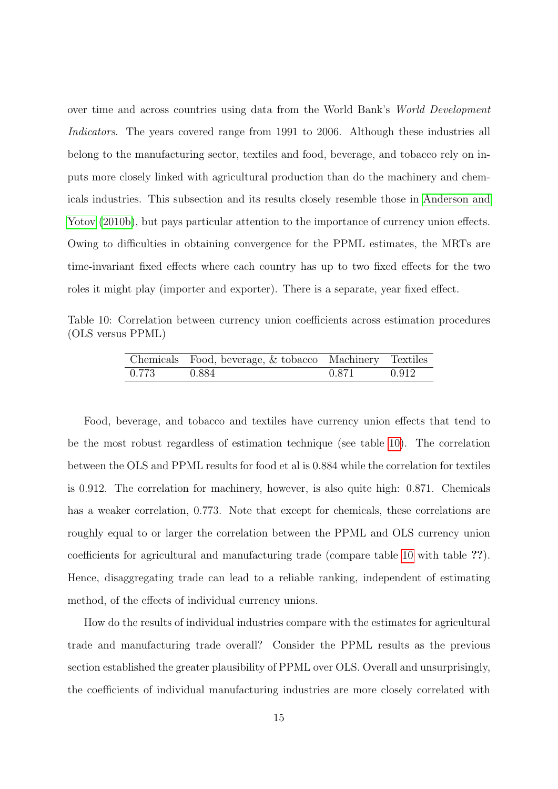over time and across countries using data from the World Bank's World Development Indicators. The years covered range from 1991 to 2006. Although these industries all belong to the manufacturing sector, textiles and food, beverage, and tobacco rely on inputs more closely linked with agricultural production than do the machinery and chemicals industries. This subsection and its results closely resemble those in [Anderson and](#page-19-2) [Yotov](#page-19-2) [\(2010b\)](#page-19-2), but pays particular attention to the importance of currency union effects. Owing to difficulties in obtaining convergence for the PPML estimates, the MRTs are time-invariant fixed effects where each country has up to two fixed effects for the two roles it might play (importer and exporter). There is a separate, year fixed effect.

Table 10: Correlation between currency union coefficients across estimation procedures (OLS versus PPML)

<span id="page-14-0"></span>

|       | Chemicals Food, beverage, & tobacco Machinery Textiles |       |       |
|-------|--------------------------------------------------------|-------|-------|
| 0.773 | 0.884                                                  | 0.871 | 0.912 |

Food, beverage, and tobacco and textiles have currency union effects that tend to be the most robust regardless of estimation technique (see table [10\)](#page-14-0). The correlation between the OLS and PPML results for food et al is 0.884 while the correlation for textiles is 0.912. The correlation for machinery, however, is also quite high: 0.871. Chemicals has a weaker correlation, 0.773. Note that except for chemicals, these correlations are roughly equal to or larger the correlation between the PPML and OLS currency union coefficients for agricultural and manufacturing trade (compare table [10](#page-14-0) with table ??). Hence, disaggregating trade can lead to a reliable ranking, independent of estimating method, of the effects of individual currency unions.

How do the results of individual industries compare with the estimates for agricultural trade and manufacturing trade overall? Consider the PPML results as the previous section established the greater plausibility of PPML over OLS. Overall and unsurprisingly, the coefficients of individual manufacturing industries are more closely correlated with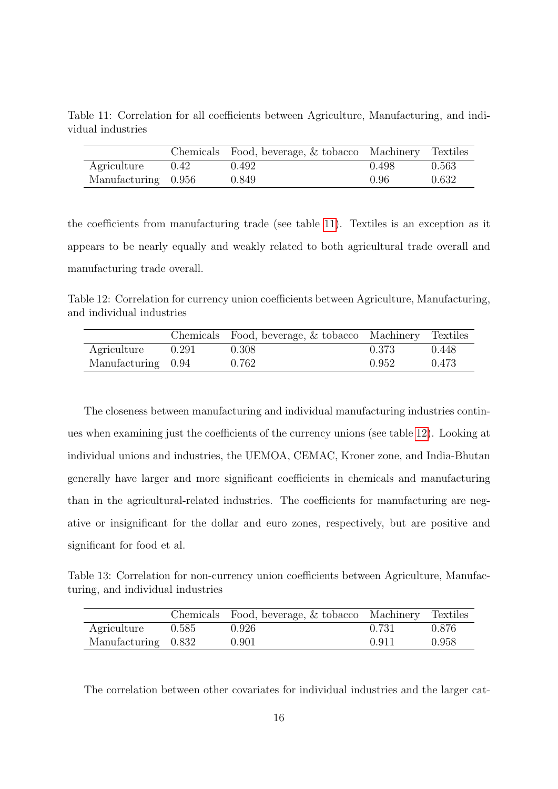<span id="page-15-0"></span>Table 11: Correlation for all coefficients between Agriculture, Manufacturing, and individual industries

|                     |      | Chemicals Food, beverage, & tobacco Machinery Textiles |       |       |
|---------------------|------|--------------------------------------------------------|-------|-------|
| Agriculture         | 0.42 | 0.492                                                  | 0.498 | 0.563 |
| Manufacturing 0.956 |      | 0.849                                                  | 0.96  | 0.632 |

the coefficients from manufacturing trade (see table [11\)](#page-15-0). Textiles is an exception as it appears to be nearly equally and weakly related to both agricultural trade overall and manufacturing trade overall.

<span id="page-15-1"></span>Table 12: Correlation for currency union coefficients between Agriculture, Manufacturing, and individual industries

|                    |       | Chemicals Food, beverage, & tobacco Machinery Textiles |       |       |
|--------------------|-------|--------------------------------------------------------|-------|-------|
| Agriculture        | 0.291 | 0.308                                                  | 0.373 | 0.448 |
| Manufacturing 0.94 |       | 0.762                                                  | 0.952 | 0.473 |

The closeness between manufacturing and individual manufacturing industries continues when examining just the coefficients of the currency unions (see table [12\)](#page-15-1). Looking at individual unions and industries, the UEMOA, CEMAC, Kroner zone, and India-Bhutan generally have larger and more significant coefficients in chemicals and manufacturing than in the agricultural-related industries. The coefficients for manufacturing are negative or insignificant for the dollar and euro zones, respectively, but are positive and significant for food et al.

<span id="page-15-2"></span>Table 13: Correlation for non-currency union coefficients between Agriculture, Manufacturing, and individual industries

|                     |       | Chemicals Food, beverage, & tobacco Machinery Textiles |       |       |
|---------------------|-------|--------------------------------------------------------|-------|-------|
| Agriculture         | 0.585 | 0.926                                                  | 0.731 | 0.876 |
| Manufacturing 0.832 |       | 0.901                                                  | 0.911 | 0.958 |

The correlation between other covariates for individual industries and the larger cat-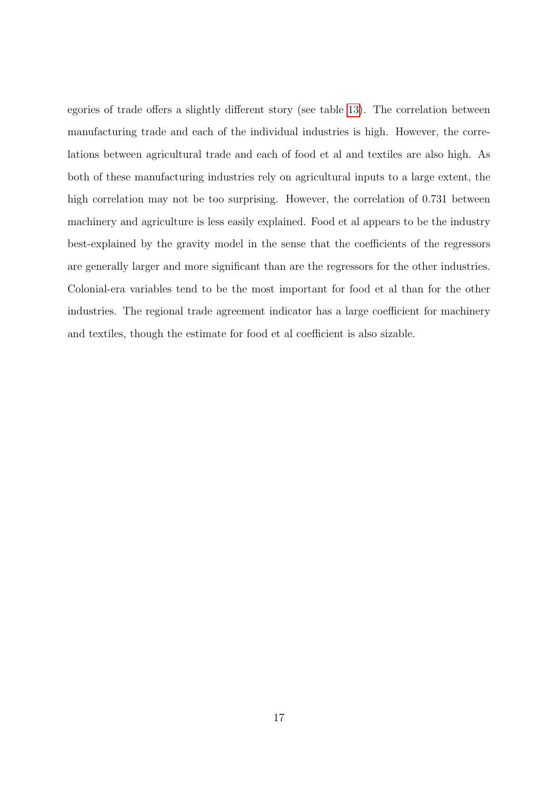egories of trade offers a slightly different story (see table [13\)](#page-15-2). The correlation between manufacturing trade and each of the individual industries is high. However, the correlations between agricultural trade and each of food et al and textiles are also high. As both of these manufacturing industries rely on agricultural inputs to a large extent, the high correlation may not be too surprising. However, the correlation of 0.731 between machinery and agriculture is less easily explained. Food et al appears to be the industry best-explained by the gravity model in the sense that the coefficients of the regressors are generally larger and more significant than are the regressors for the other industries. Colonial-era variables tend to be the most important for food et al than for the other industries. The regional trade agreement indicator has a large coefficient for machinery and textiles, though the estimate for food et al coefficient is also sizable.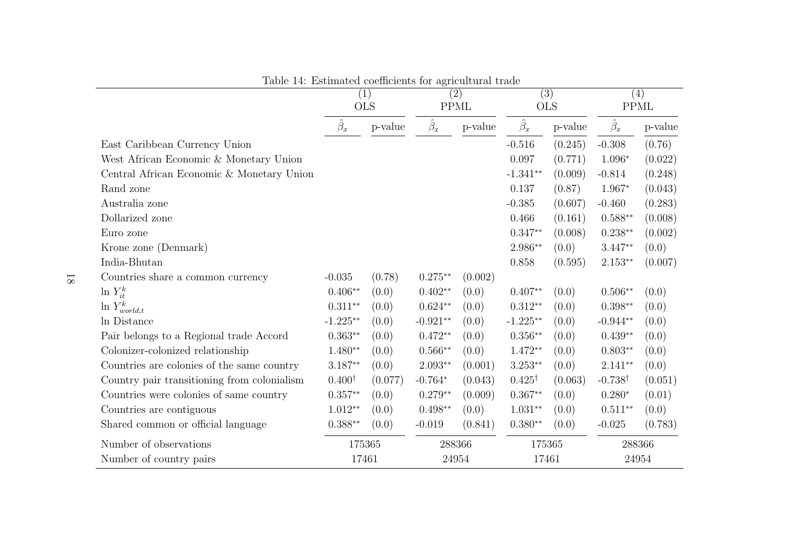|                                             | (1)<br><b>OLS</b> |         | $\overline{(2)}$<br><b>PPML</b> |         | $\overline{(3)}$<br><b>OLS</b> |         | (4)<br><b>PPML</b> |         |
|---------------------------------------------|-------------------|---------|---------------------------------|---------|--------------------------------|---------|--------------------|---------|
|                                             | $\hat{\beta}_x$   | p-value | $\hat{\beta}_x$                 | p-value | $\hat{\beta}_x$                | p-value | $\hat{\beta}_x$    | p-value |
| East Caribbean Currency Union               |                   |         |                                 |         | $-0.516$                       | (0.245) | $-0.308$           | (0.76)  |
| West African Economic & Monetary Union      |                   |         |                                 |         | 0.097                          | (0.771) | $1.096*$           | (0.022) |
| Central African Economic & Monetary Union   |                   |         |                                 |         | $-1.341**$                     | (0.009) | $-0.814$           | (0.248) |
| Rand zone                                   |                   |         |                                 |         | 0.137                          | (0.87)  | 1.967*             | (0.043) |
| Australia zone                              |                   |         |                                 |         | $-0.385$                       | (0.607) | $-0.460$           | (0.283) |
| Dollarized zone                             |                   |         |                                 |         | 0.466                          | (0.161) | $0.588**$          | (0.008) |
| Euro zone                                   |                   |         |                                 |         | $0.347**$                      | (0.008) | $0.238**$          | (0.002) |
| Krone zone (Denmark)                        |                   |         |                                 |         | 2.986**                        | (0.0)   | $3.447**$          | (0.0)   |
| India-Bhutan                                |                   |         |                                 |         | 0.858                          | (0.595) | $2.153**$          | (0.007) |
| Countries share a common currency           | $-0.035$          | (0.78)  | $0.275**$                       | (0.002) |                                |         |                    |         |
| $\ln Y_{it}^k$                              | $0.406**$         | (0.0)   | $0.402**$                       | (0.0)   | $0.407**$                      | (0.0)   | $0.506**$          | (0.0)   |
| $\ln Y^k_{world,t}$                         | $0.311**$         | (0.0)   | $0.624**$                       | (0.0)   | $0.312**$                      | (0.0)   | $0.398**$          | (0.0)   |
| In Distance                                 | $-1.225**$        | (0.0)   | $-0.921**$                      | (0.0)   | $-1.225**$                     | (0.0)   | $-0.944**$         | (0.0)   |
| Pair belongs to a Regional trade Accord     | $0.363**$         | (0.0)   | $0.472**$                       | (0.0)   | $0.356**$                      | (0.0)   | $0.439**$          | (0.0)   |
| Colonizer-colonized relationship            | $1.480**$         | (0.0)   | $0.566**$                       | (0.0)   | $1.472**$                      | (0.0)   | $0.803**$          | (0.0)   |
| Countries are colonies of the same country  | $3.187**$         | (0.0)   | $2.093**$                       | (0.001) | $3.253**$                      | (0.0)   | $2.141**$          | (0.0)   |
| Country pair transitioning from colonialism | $0.400^{\dagger}$ | (0.077) | $-0.764*$                       | (0.043) | $0.425^{\dagger}$              | (0.063) | $-0.738^{\dagger}$ | (0.051) |
| Countries were colonies of same country     | $0.357**$         | (0.0)   | $0.279**$                       | (0.009) | $0.367**$                      | (0.0)   | $0.280*$           | (0.01)  |
| Countries are contiguous                    | $1.012**$         | (0.0)   | $0.498**$                       | (0.0)   | $1.031**$                      | (0.0)   | $0.511**$          | (0.0)   |
| Shared common or official language          | $0.388**$         | (0.0)   | $-0.019$                        | (0.841) | $0.380**$                      | (0.0)   | $-0.025$           | (0.783) |
| Number of observations                      | 175365            |         | 288366                          |         | 175365                         |         | 288366             |         |
| Number of country pairs                     | 17461             |         | 24954                           |         | 17461                          |         | 24954              |         |

<span id="page-17-0"></span>Table 14: Estimated coefficients for agricultural trade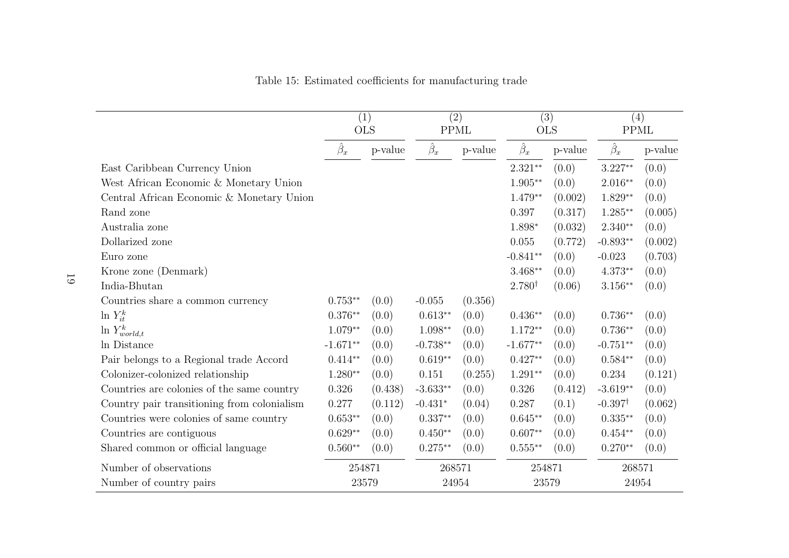|                                             | (1)<br><b>OLS</b> |         | (2)<br><b>PPML</b> |         | $\overline{(3)}$<br><b>OLS</b> |         | (4)<br><b>PPML</b> |         |
|---------------------------------------------|-------------------|---------|--------------------|---------|--------------------------------|---------|--------------------|---------|
|                                             | $\hat{\beta}_x$   | p-value | $\hat{\beta}_x$    | p-value | $\hat{\beta}_x$                | p-value | $\hat{\beta}_x$    | p-value |
| East Caribbean Currency Union               |                   |         |                    |         | $2.321**$                      | (0.0)   | $3.227**$          | (0.0)   |
| West African Economic & Monetary Union      |                   |         |                    |         | $1.905**$                      | (0.0)   | $2.016**$          | (0.0)   |
| Central African Economic & Monetary Union   |                   |         |                    |         | $1.479**$                      | (0.002) | $1.829**$          | (0.0)   |
| Rand zone                                   |                   |         |                    |         | 0.397                          | (0.317) | $1.285**$          | (0.005) |
| Australia zone                              |                   |         |                    |         | 1.898*                         | (0.032) | $2.340**$          | (0.0)   |
| Dollarized zone                             |                   |         |                    |         | 0.055                          | (0.772) | $-0.893**$         | (0.002) |
| Euro zone                                   |                   |         |                    |         | $-0.841**$                     | (0.0)   | $-0.023$           | (0.703) |
| Krone zone (Denmark)                        |                   |         |                    |         | $3.468**$                      | (0.0)   | $4.373**$          | (0.0)   |
| India-Bhutan                                |                   |         |                    |         | $2.780^{\dagger}$              | (0.06)  | $3.156**$          | (0.0)   |
| Countries share a common currency           | $0.753**$         | (0.0)   | $-0.055$           | (0.356) |                                |         |                    |         |
| $\ln Y_{it}^k$                              | $0.376**$         | (0.0)   | $0.613**$          | (0.0)   | $0.436**$                      | (0.0)   | $0.736**$          | (0.0)   |
| $\ln Y^k_{world,t}$                         | $1.079**$         | (0.0)   | $1.098**$          | (0.0)   | $1.172**$                      | (0.0)   | $0.736**$          | (0.0)   |
| In Distance                                 | $-1.671**$        | (0.0)   | $-0.738**$         | (0.0)   | $-1.677**$                     | (0.0)   | $-0.751**$         | (0.0)   |
| Pair belongs to a Regional trade Accord     | $0.414**$         | (0.0)   | $0.619**$          | (0.0)   | $0.427**$                      | (0.0)   | $0.584**$          | (0.0)   |
| Colonizer-colonized relationship            | $1.280**$         | (0.0)   | 0.151              | (0.255) | $1.291**$                      | (0.0)   | 0.234              | (0.121) |
| Countries are colonies of the same country  | 0.326             | (0.438) | $-3.633**$         | (0.0)   | 0.326                          | (0.412) | $-3.619**$         | (0.0)   |
| Country pair transitioning from colonialism | 0.277             | (0.112) | $-0.431*$          | (0.04)  | 0.287                          | (0.1)   | $-0.397^{\dagger}$ | (0.062) |
| Countries were colonies of same country     | $0.653**$         | (0.0)   | $0.337**$          | (0.0)   | $0.645**$                      | (0.0)   | $0.335**$          | (0.0)   |
| Countries are contiguous                    | $0.629**$         | (0.0)   | $0.450**$          | (0.0)   | $0.607**$                      | (0.0)   | $0.454**$          | (0.0)   |
| Shared common or official language          | $0.560**$         | (0.0)   | $0.275**$          | (0.0)   | $0.555***$                     | (0.0)   | $0.270**$          | (0.0)   |
| Number of observations                      | 254871            |         | 268571             |         | 254871                         |         | 268571             |         |
| Number of country pairs                     | 23579             |         | 24954              |         | 23579                          |         | 24954              |         |

<span id="page-18-0"></span>Table 15: Estimated coefficients for manufacturing trade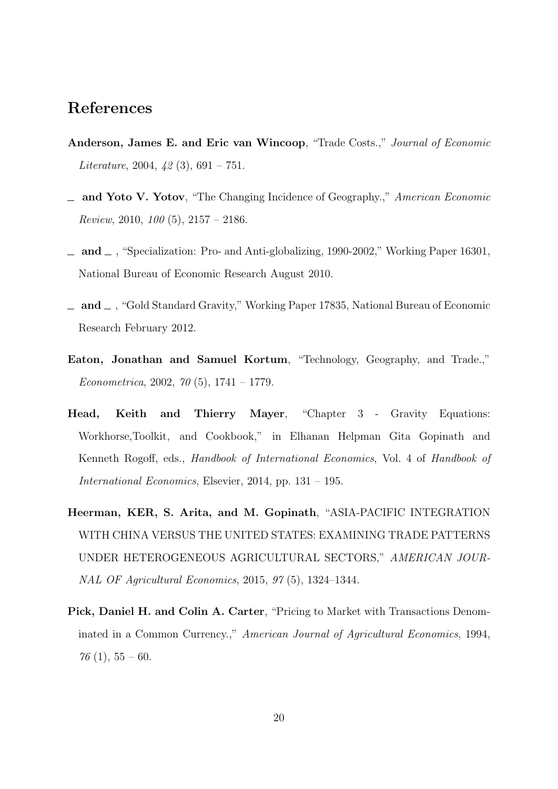### References

- <span id="page-19-6"></span>Anderson, James E. and Eric van Wincoop, "Trade Costs.," Journal of Economic Literature, 2004,  $\{2(3), 691 - 751\}$ .
- <span id="page-19-1"></span>**and Yoto V. Yotov**, "The Changing Incidence of Geography.," American Economic Review, 2010,  $100(5)$ ,  $2157 - 2186$ .
- <span id="page-19-2"></span> $\equiv$  and  $\equiv$ , "Specialization: Pro- and Anti-globalizing, 1990-2002," Working Paper 16301, National Bureau of Economic Research August 2010.
- <span id="page-19-3"></span> $\Delta$  and  $\Delta$ , "Gold Standard Gravity," Working Paper 17835, National Bureau of Economic Research February 2012.
- <span id="page-19-7"></span>Eaton, Jonathan and Samuel Kortum, "Technology, Geography, and Trade.," Econometrica, 2002, 70 (5), 1741 – 1779.
- <span id="page-19-0"></span>Head, Keith and Thierry Mayer, "Chapter 3 - Gravity Equations: Workhorse,Toolkit, and Cookbook," in Elhanan Helpman Gita Gopinath and Kenneth Rogoff, eds., Handbook of International Economics, Vol. 4 of Handbook of International Economics, Elsevier, 2014, pp. 131 – 195.
- <span id="page-19-4"></span>Heerman, KER, S. Arita, and M. Gopinath, "ASIA-PACIFIC INTEGRATION WITH CHINA VERSUS THE UNITED STATES: EXAMINING TRADE PATTERNS UNDER HETEROGENEOUS AGRICULTURAL SECTORS," AMERICAN JOUR-NAL OF Agricultural Economics, 2015, 97 (5), 1324–1344.
- <span id="page-19-5"></span>Pick, Daniel H. and Colin A. Carter, "Pricing to Market with Transactions Denominated in a Common Currency.," American Journal of Agricultural Economics, 1994,  $76(1), 55-60.$